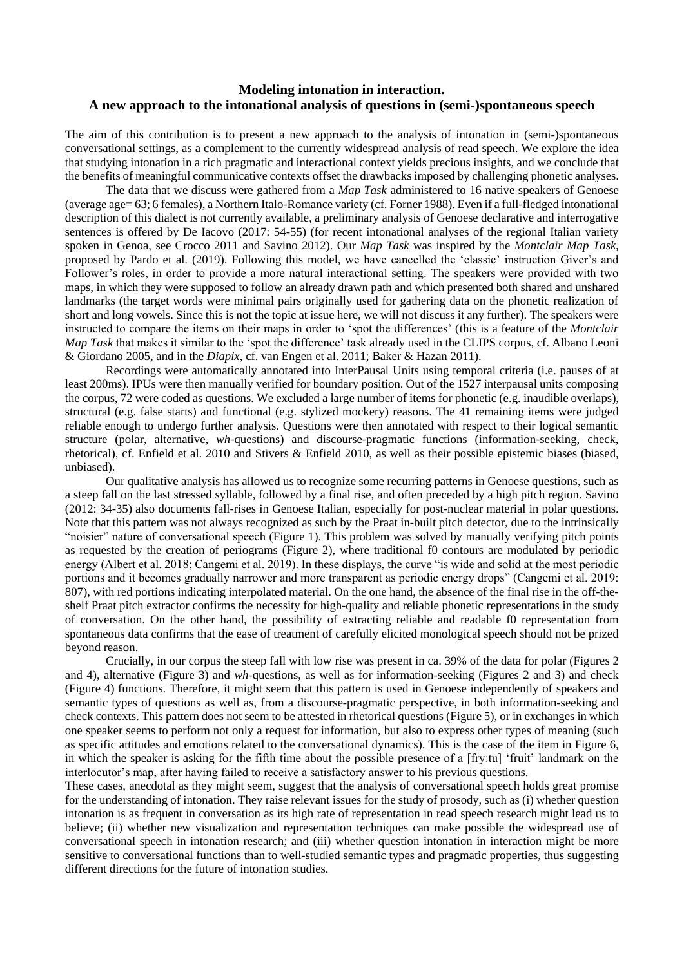## **Modeling intonation in interaction. A new approach to the intonational analysis of questions in (semi-)spontaneous speech**

The aim of this contribution is to present a new approach to the analysis of intonation in (semi-)spontaneous conversational settings, as a complement to the currently widespread analysis of read speech. We explore the idea that studying intonation in a rich pragmatic and interactional context yields precious insights, and we conclude that the benefits of meaningful communicative contexts offset the drawbacks imposed by challenging phonetic analyses.

The data that we discuss were gathered from a *Map Task* administered to 16 native speakers of Genoese (average age= 63; 6 females), a Northern Italo-Romance variety (cf. Forner 1988). Even if a full-fledged intonational description of this dialect is not currently available, a preliminary analysis of Genoese declarative and interrogative sentences is offered by De Iacovo (2017: 54-55) (for recent intonational analyses of the regional Italian variety spoken in Genoa, see Crocco 2011 and Savino 2012). Our *Map Task* was inspired by the *Montclair Map Task*, proposed by Pardo et al. (2019). Following this model, we have cancelled the 'classic' instruction Giver's and Follower's roles, in order to provide a more natural interactional setting. The speakers were provided with two maps, in which they were supposed to follow an already drawn path and which presented both shared and unshared landmarks (the target words were minimal pairs originally used for gathering data on the phonetic realization of short and long vowels. Since this is not the topic at issue here, we will not discuss it any further). The speakers were instructed to compare the items on their maps in order to 'spot the differences' (this is a feature of the *Montclair Map Task* that makes it similar to the 'spot the difference' task already used in the CLIPS corpus, cf. Albano Leoni & Giordano 2005, and in the *Diapix*, cf. van Engen et al. 2011; Baker & Hazan 2011).

Recordings were automatically annotated into InterPausal Units using temporal criteria (i.e. pauses of at least 200ms). IPUs were then manually verified for boundary position. Out of the 1527 interpausal units composing the corpus, 72 were coded as questions. We excluded a large number of items for phonetic (e.g. inaudible overlaps), structural (e.g. false starts) and functional (e.g. stylized mockery) reasons. The 41 remaining items were judged reliable enough to undergo further analysis. Questions were then annotated with respect to their logical semantic structure (polar, alternative, *wh*-questions) and discourse-pragmatic functions (information-seeking, check, rhetorical), cf. Enfield et al. 2010 and Stivers & Enfield 2010, as well as their possible epistemic biases (biased, unbiased).

Our qualitative analysis has allowed us to recognize some recurring patterns in Genoese questions, such as a steep fall on the last stressed syllable, followed by a final rise, and often preceded by a high pitch region. Savino (2012: 34-35) also documents fall-rises in Genoese Italian, especially for post-nuclear material in polar questions. Note that this pattern was not always recognized as such by the Praat in-built pitch detector, due to the intrinsically "noisier" nature of conversational speech (Figure 1). This problem was solved by manually verifying pitch points as requested by the creation of periograms (Figure 2), where traditional f0 contours are modulated by periodic energy (Albert et al. 2018; Cangemi et al. 2019). In these displays, the curve "is wide and solid at the most periodic portions and it becomes gradually narrower and more transparent as periodic energy drops" (Cangemi et al. 2019: 807), with red portions indicating interpolated material. On the one hand, the absence of the final rise in the off-theshelf Praat pitch extractor confirms the necessity for high-quality and reliable phonetic representations in the study of conversation. On the other hand, the possibility of extracting reliable and readable f0 representation from spontaneous data confirms that the ease of treatment of carefully elicited monological speech should not be prized beyond reason.

Crucially, in our corpus the steep fall with low rise was present in ca. 39% of the data for polar (Figures 2 and 4), alternative (Figure 3) and *wh*-questions, as well as for information-seeking (Figures 2 and 3) and check (Figure 4) functions. Therefore, it might seem that this pattern is used in Genoese independently of speakers and semantic types of questions as well as, from a discourse-pragmatic perspective, in both information-seeking and check contexts. This pattern does not seem to be attested in rhetorical questions (Figure 5), or in exchanges in which one speaker seems to perform not only a request for information, but also to express other types of meaning (such as specific attitudes and emotions related to the conversational dynamics). This is the case of the item in Figure 6, in which the speaker is asking for the fifth time about the possible presence of a [fryːtu] 'fruit' landmark on the interlocutor's map, after having failed to receive a satisfactory answer to his previous questions.

These cases, anecdotal as they might seem, suggest that the analysis of conversational speech holds great promise for the understanding of intonation. They raise relevant issues for the study of prosody, such as (i) whether question intonation is as frequent in conversation as its high rate of representation in read speech research might lead us to believe; (ii) whether new visualization and representation techniques can make possible the widespread use of conversational speech in intonation research; and (iii) whether question intonation in interaction might be more sensitive to conversational functions than to well-studied semantic types and pragmatic properties, thus suggesting different directions for the future of intonation studies.